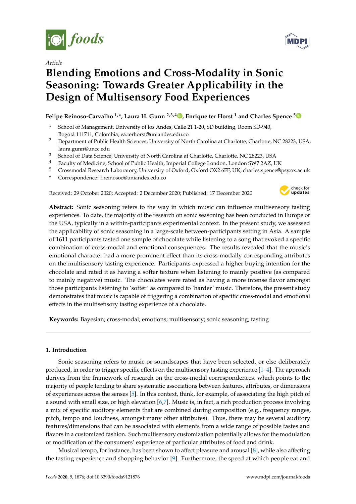

*Article*

## **Blending Emotions and Cross-Modality in Sonic Seasoning: Towards Greater Applicability in the Design of Multisensory Food Experiences**

### **Felipe Reinoso-Carvalho 1,\*, Laura H. Gunn 2,3,4 [,](https://orcid.org/0000-0003-3962-4526) Enrique ter Horst <sup>1</sup> and Charles Spence [5](https://orcid.org/0000-0003-2111-072X)**

- <sup>1</sup> School of Management, University of los Andes, Calle 21 1-20, SD building, Room SD-940, Bogotá 111711, Colombia; ea.terhorst@uniandes.edu.co
- <sup>2</sup> Department of Public Health Sciences, University of North Carolina at Charlotte, Charlotte, NC 28223, USA; laura.gunn@uncc.edu
- <sup>3</sup> School of Data Science, University of North Carolina at Charlotte, Charlotte, NC 28223, USA
- <sup>4</sup> Faculty of Medicine, School of Public Health, Imperial College London, London SW7 2AZ, UK
- <sup>5</sup> Crossmodal Research Laboratory, University of Oxford, Oxford OX2 6FF, UK; charles.spence@psy.ox.ac.uk
- **\*** Correspondence: f.reinosoc@uniandes.edu.co

Received: 29 October 2020; Accepted: 2 December 2020; Published: 17 December 2020



**Abstract:** Sonic seasoning refers to the way in which music can influence multisensory tasting experiences. To date, the majority of the research on sonic seasoning has been conducted in Europe or the USA, typically in a within-participants experimental context. In the present study, we assessed the applicability of sonic seasoning in a large-scale between-participants setting in Asia. A sample of 1611 participants tasted one sample of chocolate while listening to a song that evoked a specific combination of cross-modal and emotional consequences. The results revealed that the music's emotional character had a more prominent effect than its cross-modally corresponding attributes on the multisensory tasting experience. Participants expressed a higher buying intention for the chocolate and rated it as having a softer texture when listening to mainly positive (as compared to mainly negative) music. The chocolates were rated as having a more intense flavor amongst those participants listening to 'softer' as compared to 'harder' music. Therefore, the present study demonstrates that music is capable of triggering a combination of specific cross-modal and emotional effects in the multisensory tasting experience of a chocolate.

**Keywords:** Bayesian; cross-modal; emotions; multisensory; sonic seasoning; tasting

#### **1. Introduction**

Sonic seasoning refers to music or soundscapes that have been selected, or else deliberately produced, in order to trigger specific effects on the multisensory tasting experience [\[1–](#page-17-0)[4\]](#page-17-1). The approach derives from the framework of research on the cross-modal correspondences, which points to the majority of people tending to share systematic associations between features, attributes, or dimensions of experiences across the senses [\[5\]](#page-17-2). In this context, think, for example, of associating the high pitch of a sound with small size, or high elevation [\[6,](#page-17-3)[7\]](#page-17-4). Music is, in fact, a rich production process involving a mix of specific auditory elements that are combined during composition (e.g., frequency ranges, pitch, tempo and loudness, amongst many other attributes). Thus, there may be several auditory features/dimensions that can be associated with elements from a wide range of possible tastes and flavors in a customized fashion. Such multisensory customization potentially allows for the modulation or modification of the consumers' experience of particular attributes of food and drink.

Musical tempo, for instance, has been shown to affect pleasure and arousal [\[8\]](#page-17-5), while also affecting the tasting experience and shopping behavior [\[9\]](#page-17-6). Furthermore, the speed at which people eat and

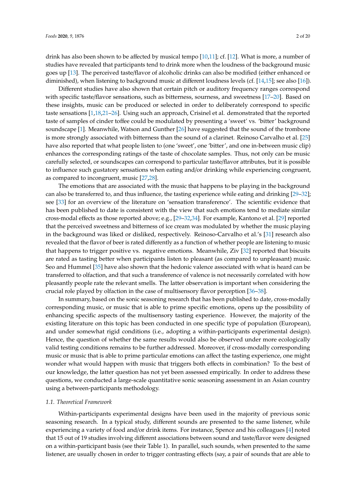drink has also been shown to be affected by musical tempo [\[10](#page-17-7)[,11\]](#page-17-8); cf. [\[12\]](#page-17-9). What is more, a number of studies have revealed that participants tend to drink more when the loudness of the background music goes up [\[13\]](#page-17-10). The perceived taste/flavor of alcoholic drinks can also be modified (either enhanced or diminished), when listening to background music at different loudness levels (cf. [\[14](#page-17-11)[,15\]](#page-17-12); see also [\[16\]](#page-17-13)).

Different studies have also shown that certain pitch or auditory frequency ranges correspond with specific taste/flavor sensations, such as bitterness, sourness, and sweetness [\[17](#page-17-14)[–20\]](#page-17-15). Based on these insights, music can be produced or selected in order to deliberately correspond to specific taste sensations [\[1](#page-17-0)[,18](#page-17-16)[,21](#page-17-17)[–26\]](#page-18-0). Using such an approach, Crisinel et al. demonstrated that the reported taste of samples of cinder toffee could be modulated by presenting a 'sweet' vs. 'bitter' background soundscape [\[1\]](#page-17-0). Meanwhile, Watson and Gunther [\[26\]](#page-18-0) have suggested that the sound of the trombone is more strongly associated with bitterness than the sound of a clarinet. Reinoso Carvalho et al. [\[25\]](#page-17-18) have also reported that what people listen to (one 'sweet', one 'bitter', and one in-between music clip) enhances the corresponding ratings of the taste of chocolate samples. Thus, not only can be music carefully selected, or soundscapes can correspond to particular taste/flavor attributes, but it is possible to influence such gustatory sensations when eating and/or drinking while experiencing congruent, as compared to incongruent, music [\[27](#page-18-1)[,28\]](#page-18-2).

The emotions that are associated with the music that happens to be playing in the background can also be transferred to, and thus influence, the tasting experience while eating and drinking [\[29](#page-18-3)[–32\]](#page-18-4); see [\[33\]](#page-18-5) for an overview of the literature on 'sensation transference'. The scientific evidence that has been published to date is consistent with the view that such emotions tend to mediate similar cross-modal effects as those reported above; e.g., [\[29](#page-18-3)[–32,](#page-18-4)[34\]](#page-18-6). For example, Kantono et al. [\[29\]](#page-18-3) reported that the perceived sweetness and bitterness of ice cream was modulated by whether the music playing in the background was liked or disliked, respectively. Reinoso-Carvalho et al.'s [\[31\]](#page-18-7) research also revealed that the flavor of beer is rated differently as a function of whether people are listening to music that happens to trigger positive vs. negative emotions. Meanwhile, Ziv [\[32\]](#page-18-4) reported that biscuits are rated as tasting better when participants listen to pleasant (as compared to unpleasant) music. Seo and Hummel [\[35\]](#page-18-8) have also shown that the hedonic valence associated with what is heard can be transferred to olfaction, and that such a transference of valence is not necessarily correlated with how pleasantly people rate the relevant smells. The latter observation is important when considering the crucial role played by olfaction in the case of multisensory flavor perception [\[36](#page-18-9)[–38\]](#page-18-10).

In summary, based on the sonic seasoning research that has been published to date, cross-modally corresponding music, or music that is able to prime specific emotions, opens up the possibility of enhancing specific aspects of the multisensory tasting experience. However, the majority of the existing literature on this topic has been conducted in one specific type of population (European), and under somewhat rigid conditions (i.e., adopting a within-participants experimental design). Hence, the question of whether the same results would also be observed under more ecologically valid testing conditions remains to be further addressed. Moreover, if cross-modally corresponding music or music that is able to prime particular emotions can affect the tasting experience, one might wonder what would happen with music that triggers both effects in combination? To the best of our knowledge, the latter question has not yet been assessed empirically. In order to address these questions, we conducted a large-scale quantitative sonic seasoning assessment in an Asian country using a between-participants methodology.

#### *1.1. Theoretical Framework*

Within-participants experimental designs have been used in the majority of previous sonic seasoning research. In a typical study, different sounds are presented to the same listener, while experiencing a variety of food and/or drink items. For instance, Spence and his colleagues [\[4\]](#page-17-1) noted that 15 out of 19 studies involving different associations between sound and taste/flavor were designed on a within-participant basis (see their Table 1). In parallel, such sounds, when presented to the same listener, are usually chosen in order to trigger contrasting effects (say, a pair of sounds that are able to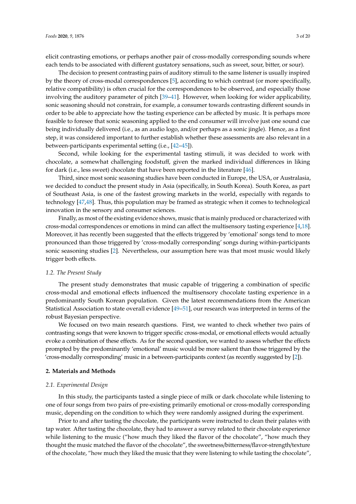elicit contrasting emotions, or perhaps another pair of cross-modally corresponding sounds where each tends to be associated with different gustatory sensations, such as sweet, sour, bitter, or sour).

The decision to present contrasting pairs of auditory stimuli to the same listener is usually inspired by the theory of cross-modal correspondences [\[5\]](#page-17-2), according to which contrast (or more specifically, relative compatibility) is often crucial for the correspondences to be observed, and especially those involving the auditory parameter of pitch [\[39–](#page-18-11)[41\]](#page-18-12). However, when looking for wider applicability, sonic seasoning should not constrain, for example, a consumer towards contrasting different sounds in order to be able to appreciate how the tasting experience can be affected by music. It is perhaps more feasible to foresee that sonic seasoning applied to the end consumer will involve just one sound cue being individually delivered (i.e., as an audio logo, and/or perhaps as a sonic jingle). Hence, as a first step, it was considered important to further establish whether these assessments are also relevant in a between-participants experimental setting (i.e., [\[42](#page-18-13)[–45\]](#page-18-14)).

Second, while looking for the experimental tasting stimuli, it was decided to work with chocolate, a somewhat challenging foodstuff, given the marked individual differences in liking for dark (i.e., less sweet) chocolate that have been reported in the literature [\[46\]](#page-18-15).

Third, since most sonic seasoning studies have been conducted in Europe, the USA, or Australasia, we decided to conduct the present study in Asia (specifically, in South Korea). South Korea, as part of Southeast Asia, is one of the fastest growing markets in the world, especially with regards to technology [\[47,](#page-18-16)[48\]](#page-18-17). Thus, this population may be framed as strategic when it comes to technological innovation in the sensory and consumer sciences.

Finally, as most of the existing evidence shows, music that is mainly produced or characterized with cross-modal correspondences or emotions in mind can affect the multisensory tasting experience [\[4](#page-17-1)[,18\]](#page-17-16). Moreover, it has recently been suggested that the effects triggered by 'emotional' songs tend to more pronounced than those triggered by 'cross-modally corresponding' songs during within-participants sonic seasoning studies [\[2\]](#page-17-19). Nevertheless, our assumption here was that most music would likely trigger both effects.

#### *1.2. The Present Study*

The present study demonstrates that music capable of triggering a combination of specific cross-modal and emotional effects influenced the multisensory chocolate tasting experience in a predominantly South Korean population. Given the latest recommendations from the American Statistical Association to state overall evidence [\[49](#page-18-18)[–51\]](#page-18-19), our research was interpreted in terms of the robust Bayesian perspective.

We focused on two main research questions. First, we wanted to check whether two pairs of contrasting songs that were known to trigger specific cross-modal, or emotional effects would actually evoke a combination of these effects. As for the second question, we wanted to assess whether the effects prompted by the predominantly 'emotional' music would be more salient than those triggered by the 'cross-modally corresponding' music in a between-participants context (as recently suggested by [\[2\]](#page-17-19)).

#### **2. Materials and Methods**

#### *2.1. Experimental Design*

In this study, the participants tasted a single piece of milk or dark chocolate while listening to one of four songs from two pairs of pre-existing primarily emotional or cross-modally corresponding music, depending on the condition to which they were randomly assigned during the experiment.

Prior to and after tasting the chocolate, the participants were instructed to clean their palates with tap water. After tasting the chocolate, they had to answer a survey related to their chocolate experience while listening to the music ("how much they liked the flavor of the chocolate", "how much they thought the music matched the flavor of the chocolate", the sweetness/bitterness/flavor-strength/texture of the chocolate, "how much they liked the music that they were listening to while tasting the chocolate",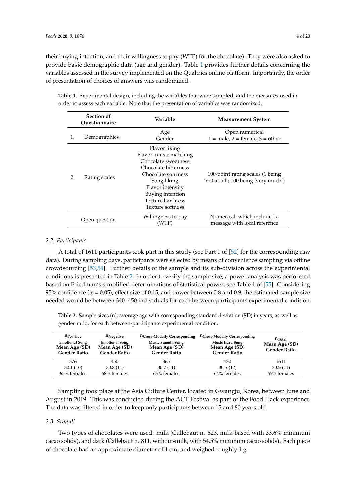their buying intention, and their willingness to pay (WTP) for the chocolate). They were also asked to provide basic demographic data (age and gender). Table [1](#page-3-0) provides further details concerning the variables assessed in the survey implemented on the Qualtrics online platform. Importantly, the order of presentation of choices of answers was randomized.

| Section of<br>Ouestionnaire |               | Variable                                                                                                                                                                                                   | <b>Measurement System</b>                                                |  |  |  |
|-----------------------------|---------------|------------------------------------------------------------------------------------------------------------------------------------------------------------------------------------------------------------|--------------------------------------------------------------------------|--|--|--|
| 1.                          | Demographics  | Age<br>Gender                                                                                                                                                                                              | Open numerical<br>$1 = male$ ; $2 = female$ ; $3 = other$                |  |  |  |
| 2.                          | Rating scales | Flavor liking<br>Flavor-music matching<br>Chocolate sweetness<br>Chocolate bitterness<br>Chocolate sourness<br>Song liking<br>Flavor intensity<br>Buying intention<br>Texture hardness<br>Texture softness | 100-point rating scales (1 being<br>'not at all'; 100 being 'very much') |  |  |  |
|                             | Open question | Willingness to pay<br>(WTP)                                                                                                                                                                                | Numerical, which included a<br>message with local reference              |  |  |  |

<span id="page-3-0"></span>**Table 1.** Experimental design, including the variables that were sampled, and the measures used in order to assess each variable. Note that the presentation of variables was randomized.

#### *2.2. Participants*

A total of 1611 participants took part in this study (see Part 1 of [\[52\]](#page-19-0) for the corresponding raw data). During sampling days, participants were selected by means of convenience sampling via offline crowdsourcing [\[53](#page-19-1)[,54\]](#page-19-2). Further details of the sample and its sub-division across the experimental conditions is presented in Table [2.](#page-3-1) In order to verify the sample size, a power analysis was performed based on Friedman's simplified determinations of statistical power; see Table 1 of [\[55\]](#page-19-3). Considering 95% confidence ( $\alpha$  = 0.05), effect size of 0.15, and power between 0.8 and 0.9, the estimated sample size needed would be between 340–450 individuals for each between-participants experimental condition.

<span id="page-3-1"></span>**Table 2.** Sample sizes (n), average age with corresponding standard deviation (SD) in years, as well as gender ratio, for each between-participants experimental condition.

| <b>n</b> Positive<br><b>Emotional Song</b><br>Mean Age (SD)<br><b>Gender Ratio</b> | $n_{Neqative}$<br><b>Emotional Song</b><br>Mean Age (SD)<br><b>Gender Ratio</b> | n <sub>Cross</sub> -Modally Corresponding<br><b>Music Smooth Song</b><br>Mean Age (SD)<br><b>Gender Ratio</b> | n <sub>Cross</sub> -Modally Corresponding<br><b>Music Hard Song</b><br>Mean Age (SD)<br><b>Gender Ratio</b> | $n_{\text{Total}}$<br>Mean Age (SD)<br><b>Gender Ratio</b> |
|------------------------------------------------------------------------------------|---------------------------------------------------------------------------------|---------------------------------------------------------------------------------------------------------------|-------------------------------------------------------------------------------------------------------------|------------------------------------------------------------|
| 376                                                                                | 450                                                                             | 365                                                                                                           | 420                                                                                                         | 1611                                                       |
| 30.1(10)                                                                           | 30.8(11)                                                                        | 30.7(11)                                                                                                      | 30.5(12)                                                                                                    | 30.5(11)                                                   |
| 65% females                                                                        | $68\%$ females                                                                  | 63% females                                                                                                   | 64% females                                                                                                 | $65%$ females                                              |

Sampling took place at the Asia Culture Center, located in Gwangju, Korea, between June and August in 2019. This was conducted during the ACT Festival as part of the Food Hack experience. The data was filtered in order to keep only participants between 15 and 80 years old.

#### *2.3. Stimuli*

Two types of chocolates were used: milk (Callebaut n. 823, milk-based with 33.6% minimum cacao solids), and dark (Callebaut n. 811, without-milk, with 54.5% minimum cacao solids). Each piece of chocolate had an approximate diameter of 1 cm, and weighed roughly 1 g.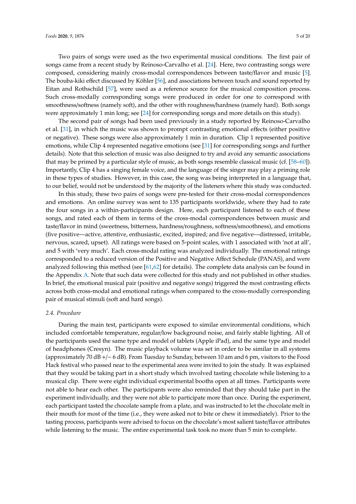Two pairs of songs were used as the two experimental musical conditions. The first pair of songs came from a recent study by Reinoso-Carvalho et al. [\[24\]](#page-17-20). Here, two contrasting songs were composed, considering mainly cross-modal correspondences between taste/flavor and music [\[5\]](#page-17-2). The bouba-kiki effect discussed by Köhler [\[56\]](#page-19-4), and associations between touch and sound reported by Eitan and Rothschild [\[57\]](#page-19-5), were used as a reference source for the musical composition process. Such cross-modally corresponding songs were produced in order for one to correspond with smoothness/softness (namely soft), and the other with roughness/hardness (namely hard). Both songs were approximately 1 min long; see [\[24\]](#page-17-20) for corresponding songs and more details on this study).

The second pair of songs had been used previously in a study reported by Reinoso-Carvalho et al. [\[31\]](#page-18-7), in which the music was shown to prompt contrasting emotional effects (either positive or negative). These songs were also approximately 1 min in duration. Clip 1 represented positive emotions, while Clip 4 represented negative emotions (see [\[31\]](#page-18-7) for corresponding songs and further details). Note that this selection of music was also designed to try and avoid any semantic associations that may be primed by a particular style of music, as both songs resemble classical music (cf. [\[58](#page-19-6)[–60\]](#page-19-7)). Importantly, Clip 4 has a singing female voice, and the language of the singer may play a priming role in these types of studies. However, in this case, the song was being interpreted in a language that, to our belief, would not be understood by the majority of the listeners where this study was conducted.

In this study, these two pairs of songs were pre-tested for their cross-modal correspondences and emotions. An online survey was sent to 135 participants worldwide, where they had to rate the four songs in a within-participants design. Here, each participant listened to each of these songs, and rated each of them in terms of the cross-modal correspondences between music and taste/flavor in mind (sweetness, bitterness, hardness/roughness, softness/smoothness), and emotions (five positive—active, attentive, enthusiastic, excited, inspired; and five negative—distressed, irritable, nervous, scared, upset). All ratings were based on 5-point scales, with 1 associated with 'not at all', and 5 with 'very much'. Each cross-modal rating was analyzed individually. The emotional ratings corresponded to a reduced version of the Positive and Negative Affect Schedule (PANAS), and were analyzed following this method (see [\[61,](#page-19-8)[62\]](#page-19-9) for details). The complete data analysis can be found in the Appendix [A.](#page-15-0) Note that such data were collected for this study and not published in other studies. In brief, the emotional musical pair (positive and negative songs) triggered the most contrasting effects across both cross-modal and emotional ratings when compared to the cross-modally corresponding pair of musical stimuli (soft and hard songs).

#### *2.4. Procedure*

During the main test, participants were exposed to similar environmental conditions, which included comfortable temperature, regular/low background noise, and fairly stable lighting. All of the participants used the same type and model of tablets (Apple iPad), and the same type and model of headphones (Cresyn). The music playback volume was set in order to be similar in all systems (approximately 70 dB +/− 6 dB). From Tuesday to Sunday, between 10 am and 6 pm, visitors to the Food Hack festival who passed near to the experimental area were invited to join the study. It was explained that they would be taking part in a short study which involved tasting chocolate while listening to a musical clip. There were eight individual experimental booths open at all times. Participants were not able to hear each other. The participants were also reminded that they should take part in the experiment individually, and they were not able to participate more than once. During the experiment, each participant tasted the chocolate sample from a plate, and was instructed to let the chocolate melt in their mouth for most of the time (i.e., they were asked not to bite or chew it immediately). Prior to the tasting process, participants were advised to focus on the chocolate's most salient taste/flavor attributes while listening to the music. The entire experimental task took no more than 5 min to complete.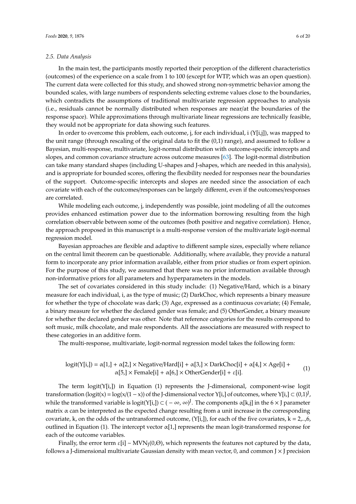#### *2.5. Data Analysis*

In the main test, the participants mostly reported their perception of the different characteristics (outcomes) of the experience on a scale from 1 to 100 (except for WTP, which was an open question). The current data were collected for this study, and showed strong non-symmetric behavior among the bounded scales, with large numbers of respondents selecting extreme values close to the boundaries, which contradicts the assumptions of traditional multivariate regression approaches to analysis (i.e., residuals cannot be normally distributed when responses are near/at the boundaries of the response space). While approximations through multivariate linear regressions are technically feasible, they would not be appropriate for data showing such features.

In order to overcome this problem, each outcome, j, for each individual, i  $(Y[i,j])$ , was mapped to the unit range (through rescaling of the original data to fit the (0,1) range), and assumed to follow a Bayesian, multi-response, multivariate, logit-normal distribution with outcome-specific intercepts and slopes, and common covariance structure across outcome measures [\[63\]](#page-19-10). The logit-normal distribution can take many standard shapes (including U-shapes and J-shapes, which are needed in this analysis), and is appropriate for bounded scores, offering the flexibility needed for responses near the boundaries of the support. Outcome-specific intercepts and slopes are needed since the association of each covariate with each of the outcomes/responses can be largely different, even if the outcomes/responses are correlated.

While modeling each outcome, j, independently was possible, joint modeling of all the outcomes provides enhanced estimation power due to the information borrowing resulting from the high correlation observable between some of the outcomes (both positive and negative correlation). Hence, the approach proposed in this manuscript is a multi-response version of the multivariate logit-normal regression model.

Bayesian approaches are flexible and adaptive to different sample sizes, especially where reliance on the central limit theorem can be questionable. Additionally, where available, they provide a natural form to incorporate any prior information available, either from prior studies or from expert opinion. For the purpose of this study, we assumed that there was no prior information available through non-informative priors for all parameters and hyperparameters in the models.

The set of covariates considered in this study include: (1) Negative/Hard, which is a binary measure for each individual, i, as the type of music; (2) DarkChoc, which represents a binary measure for whether the type of chocolate was dark; (3) Age, expressed as a continuous covariate; (4) Female, a binary measure for whether the declared gender was female; and (5) OtherGender, a binary measure for whether the declared gender was other. Note that reference categories for the results correspond to soft music, milk chocolate, and male respondents. All the associations are measured with respect to these categories in an additive form.

The multi-response, multivariate, logit-normal regression model takes the following form:

$$
logit(Y[i,]) = \alpha[1,] + \alpha[2,] \times Negative/Hard[i] + \alpha[3,] \times DarkChoice[i] + \alpha[4,] \times Age[i] + \alpha[5,] \times Female[i] + \alpha[6,] \times OtherGender[i] + \varepsilon[i].
$$
\n(1)

The term  $logit(Y[i,])$  in Equation (1) represents the J-dimensional, component-wise  $logit$ transformation (logit(x) = log(x/(1 - x)) of the J-dimensional vector Y[i,] of outcomes, where Y[i,]  $\subset (0,1)^J$ , while the transformed variable is logit(Y[i,])  $\subset (-\infty,\infty)^J$ . The components  $\alpha[k,j]$  in the 6  $\times$  J parameter matrix  $\alpha$  can be interpreted as the expected change resulting from a unit increase in the corresponding covariate, k, on the odds of the untransformed outcome,  $(Y[i,])$ , for each of the five covariates,  $k = 2,..,6$ , outlined in Equation (1). The intercept vector  $\alpha[1]$  represents the mean logit-transformed response for each of the outcome variables.

Finally, the error term ε[i] ~ MVN<sub>J</sub>(0,Θ), which represents the features not captured by the data, follows a J-dimensional multivariate Gaussian density with mean vector, 0, and common  $J \times J$  precision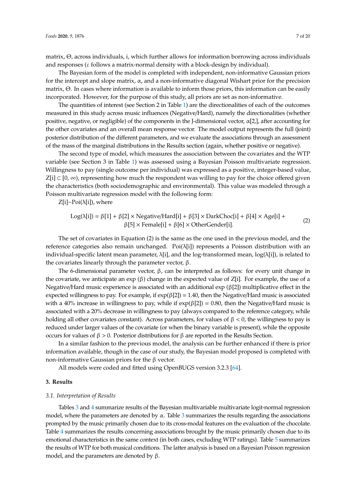matrix, Θ, across individuals, i, which further allows for information borrowing across individuals and responses ( $\varepsilon$  follows a matrix-normal density with a block-design by individual).

The Bayesian form of the model is completed with independent, non-informative Gaussian priors for the intercept and slope matrix,  $\alpha$ , and a non-informative diagonal Wishart prior for the precision matrix, Θ. In cases where information is available to inform those priors, this information can be easily incorporated. However, for the purpose of this study, all priors are set as non-informative.

The quantities of interest (see Section 2 in Table [1\)](#page-3-0) are the directionalities of each of the outcomes measured in this study across music influences (Negative/Hard), namely the directionalities (whether positive, negative, or negligible) of the components in the J-dimensional vector,  $\alpha[2]$ , after accounting for the other covariates and an overall mean response vector. The model output represents the full (joint) posterior distribution of the different parameters, and we evaluate the associations through an assessment of the mass of the marginal distributions in the Results section (again, whether positive or negative).

The second type of model, which measures the association between the covariates and the WTP variable (see Section 3 in Table [1\)](#page-3-0) was assessed using a Bayesian Poisson multivariate regression. Willingness to pay (single outcome per individual) was expressed as a positive, integer-based value,  $Z[i]$  ⊂ [0, ∞), representing how much the respondent was willing to pay for the choice offered given the characteristics (both sociodemographic and environmental). This value was modeled through a Poisson multivariate regression model with the following form:

 $Z[i] \sim Poi(\lambda[i])$ , where

$$
Log(\lambda[i]) = \beta[1] + \beta[2] \times Negative/Hard[i] + \beta[3] \times DarkChoice[i] + \beta[4] \times Age[i] + \beta[5] \times Female[i] + \beta[6] \times OtherGender[i].
$$
 (2)

The set of covariates in Equation (2) is the same as the one used in the previous model, and the reference categories also remain unchanged. Poi $(\lambda[i])$  represents a Poisson distribution with an individual-specific latent mean parameter,  $\lambda[i]$ , and the log-transformed mean, log( $\lambda[i]$ ), is related to the covariates linearly through the parameter vector, β.

The 6-dimensional parameter vector,  $β$ , can be interpreted as follows: for every unit change in the covariate, we anticipate an exp  $(\beta)$  change in the expected value of Z[i]. For example, the use of a Negative/Hard music experience is associated with an additional exp (β[2]) multiplicative effect in the expected willingness to pay. For example, if  $exp(\beta[2]) = 1.40$ , then the Negative/Hard music is associated with a 40% increase in willingness to pay, while if  $exp(\beta[2]) = 0.80$ , then the Negative/Hard music is associated with a 20% decrease in willingness to pay (always compared to the reference category, while holding all other covariates constant). Across parameters, for values of  $\beta < 0$ , the willingness to pay is reduced under larger values of the covariate (or when the binary variable is present), while the opposite occurs for values of β > 0. Posterior distributions for β are reported in the Results Section.

In a similar fashion to the previous model, the analysis can be further enhanced if there is prior information available, though in the case of our study, the Bayesian model proposed is completed with non-informative Gaussian priors for the β vector.

All models were coded and fitted using OpenBUGS version 3.2.3 [\[64\]](#page-19-11).

#### **3. Results**

#### *3.1. Interpretation of Results*

Tables [3](#page-7-0) and [4](#page-8-0) summarize results of the Bayesian multivariable multivariate logit-normal regression model, where the parameters are denoted by  $\alpha$ . Table [3](#page-7-0) summarizes the results regarding the associations prompted by the music primarily chosen due to its cross-modal features on the evaluation of the chocolate. Table [4](#page-8-0) summarizes the results concerning associations brought by the music primarily chosen due to its emotional characteristics in the same context (in both cases, excluding WTP ratings). Table [5](#page-9-0) summarizes the results of WTP for both musical conditions. The latter analysis is based on a Bayesian Poisson regression model, and the parameters are denoted by  $\beta$ .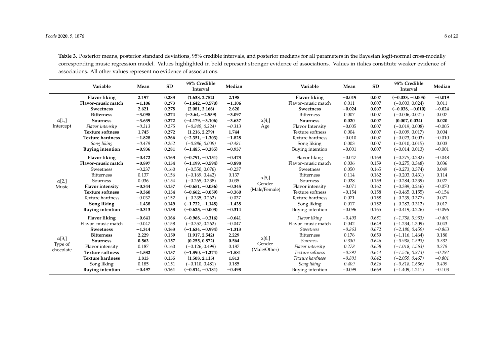**Table 3.** Posterior means, posterior standard deviations, 95% credible intervals, and posterior medians for all parameters in the Bayesian logit-normal cross-modally corresponding music regression model. Values highlighted in bold represent stronger evidence of associations. Values in italics constitute weaker evidence of associations. All other values represent no evidence of associations.

<span id="page-7-0"></span>

|               | Variable                | Mean     | <b>SD</b> | 95% Credible<br>Interval | Median   |                                          | Variable                | Mean     | <b>SD</b> | 95% Credible<br>Interval | Median   |
|---------------|-------------------------|----------|-----------|--------------------------|----------|------------------------------------------|-------------------------|----------|-----------|--------------------------|----------|
|               | <b>Flavor liking</b>    | 2.197    | 0.283     | (1.638, 2.752)           | 2.198    |                                          | <b>Flavor liking</b>    | $-0.019$ | 0.007     | $(-0.033, -0.005)$       | $-0.019$ |
|               | Flavor-music match      | $-1.106$ | 0.273     | $(-1.642, -0.570)$       | $-1.106$ |                                          | Flavor-music match      | 0.011    | 0.007     | $(-0.003, 0.024)$        | 0.011    |
|               | <b>Sweetness</b>        | 2.621    | 0.278     | (2.081, 3.166)           | 2.620    |                                          | <b>Sweetness</b>        | $-0.024$ | 0.007     | $(-0.038, -0.010)$       | $-0.024$ |
|               | <b>Bitterness</b>       | $-3.098$ | 0.274     | $(-3.64, -2.559)$        | $-3.097$ |                                          | <b>Bitterness</b>       | 0.007    | 0.007     | $(-0.006, 0.021)$        | 0.007    |
| $\alpha$ [1,] | <b>Sourness</b>         | $-3.639$ | 0.272     | $(-4.179, -3.106)$       | $-3.637$ | $\alpha[4,]$                             | <b>Sourness</b>         | 0.020    | 0.007     | (0.007, 0.034)           | 0.020    |
| Intercept     | Flavor intensity        | $-0.313$ | 0.275     | $(-0.849, 0.224)$        | $-0.313$ | Age                                      | Flavor Intensity        | $-0.005$ | 0.007     | $(-0.019, 0.008)$        | $-0.005$ |
|               | <b>Texture softness</b> | 1.745    | 0.272     | (1.216, 2.279)           | 1.744    |                                          | Texture softness        | 0.004    | 0.007     | $(-0.009, 0.017)$        | 0.004    |
|               | <b>Texture hardness</b> | $-1.828$ | 0.266     | $(-2.351, -1.303)$       | $-1.828$ |                                          | <b>Texture hardness</b> | $-0.010$ | 0.007     | $(-0.023, 0.003)$        | $-0.010$ |
|               | Song liking             | $-0.479$ | 0.262     | $(-0.986, 0.039)$        | $-0.481$ |                                          | Song liking             | 0.003    | 0.007     | $(-0.010, 0.015)$        | 0.003    |
|               | <b>Buying intention</b> | $-0.936$ | 0.281     | $(-1.485, -0.385)$       | $-0.937$ |                                          | Buying intention        | $-0.001$ | 0.007     | $(-0.014, 0.013)$        | $-0.001$ |
|               | <b>Flavor liking</b>    | $-0.472$ | 0.163     | $(-0.791, -0.151)$       | $-0.473$ |                                          | Flavor liking           | $-0.047$ | 0.168     | $(-0.375, 0.282)$        | $-0.048$ |
|               | Flavor-music match      | $-0.897$ | 0.154     | $(-1.199, -0.594)$       | $-0.898$ | $\alpha$ [5,]<br>Gender<br>(Male/Female) | Flavor-music match      | 0.036    | 0.159     | $(-0.275, 0.348)$        | 0.036    |
|               | Sweetness               | $-0.237$ | 0.160     | $(-0.550, 0.076)$        | $-0.237$ |                                          | Sweetness               | 0.050    | 0.165     | $(-0.273, 0.374)$        | 0.049    |
|               | <b>Bitterness</b>       | 0.137    | 0.156     | $(-0.169, 0.442)$        | 0.137    |                                          | <b>Bitterness</b>       | 0.114    | 0.162     | $(-0.203, 0.431)$        | 0.114    |
| $\alpha$ [2,] | Sourness                | 0.036    | 0.154     | $(-0.265, 0.338)$        | 0.035    |                                          | Sourness                | 0.028    | 0.159     | $(-0.284, 0.339)$        | 0.027    |
| Music         | <b>Flavor</b> intensity | $-0.344$ | 0.157     | $(-0.651, -0.036)$       | $-0.345$ |                                          | Flavor intensity        | $-0.071$ | 0.162     | $(-0.389, 0.246)$        | $-0.070$ |
|               | <b>Texture softness</b> | $-0.360$ | 0.154     | $(-0.662, -0.059)$       | $-0.360$ |                                          | Texture softness        | $-0.154$ | 0.158     | $(-0.465, 0.155)$        | $-0.154$ |
|               | Texture hardness        | $-0.037$ | 0.152     | $(-0.335, 0.262)$        | $-0.037$ |                                          | <b>Texture hardness</b> | 0.071    | 0.158     | $(-0.239, 0.377)$        | 0.071    |
|               | Song liking             | $-1.438$ | 0.149     | $(-1.732, -1.148)$       | $-1.438$ |                                          | Song liking             | 0.017    | 0.152     | $(-0.283, 0.312)$        | 0.017    |
|               | <b>Buying intention</b> | $-0.313$ | 0.158     | $(-0.625, -0.003)$       | $-0.314$ |                                          | Buying intention        | $-0.096$ | 0.165     | $(-0.419, 0.226)$        | $-0.096$ |
|               | <b>Flavor liking</b>    | $-0.641$ | 0.166     | $(-0.968, -0.316)$       | $-0.641$ |                                          | Flavor liking           | $-0.403$ | 0.681     | $(-1.738, 0.933)$        | $-0.401$ |
|               | Flavor-music match      | $-0.047$ | 0.158     | $(-0.357, 0.262)$        | $-0.047$ |                                          | Flavor-music match      | 0.042    | 0.649     | $(-1.234, 1.309)$        | 0.043    |
|               | <b>Sweetness</b>        | $-1.314$ | 0.163     | $(-1.634, -0.994)$       | $-1.313$ |                                          | Sweetness               | $-0.863$ | 0.672     | $(-2.180, 0.459)$        | $-0.863$ |
|               | <b>Bitterness</b>       | 2.229    | 0.159     | (1.917, 2.542)           | 2.229    | $\alpha$ [6,]                            | <b>Bitterness</b>       | 0.176    | 0.659     | $(-1.116, 1.464)$        | 0.180    |
| $\alpha$ [3,] | <b>Sourness</b>         | 0.563    | 0.157     | (0.255, 0.872)           | 0.564    | Gender                                   | Sourness                | 0.330    | 0.646     | $(-0.938, 1.593)$        | 0.332    |
| Type of       | Flavor intensity        | 0.187    | 0.160     | $(-0.126, 0.499)$        | 0.187    | (Male/Other)                             | Flavor intensity        | 0.278    | 0.658     | $(-1.018, 1.563)$        | 0.279    |
| chocolate     | <b>Texture softness</b> | $-1.582$ | 0.157     | $(-1.890, -1.274)$       | $-1.581$ |                                          | Texture softness        | $-0.292$ | 0.644     | $(-1.546, 0.973)$        | $-0.292$ |
|               | <b>Texture hardness</b> | 1.813    | 0.155     | (1.508, 2.115)           | 1.813    |                                          | Texture hardness        | $-0.801$ | 0.642     | $(-2.059, 0.467)$        | $-0.801$ |
|               | Song liking             | 0.185    | 0.151     | $(-0.110, 0.481)$        | 0.185    |                                          | Song liking             | 0.409    | 0.626     | $(-0.818, 1.636)$        | 0.409    |
|               | <b>Buying intention</b> | $-0.497$ | 0.161     | $(-0.814, -0.181)$       | $-0.498$ |                                          | Buying intention        | $-0.099$ | 0.669     | $(-1.409, 1.211)$        | $-0.103$ |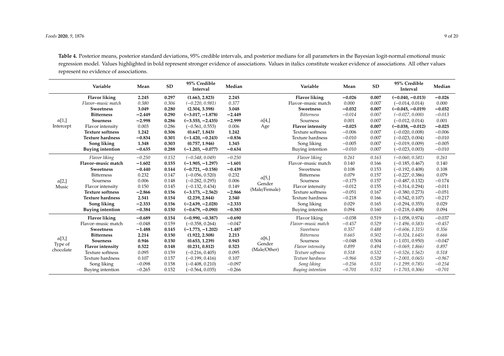**Table 4.** Posterior means, posterior standard deviations, 95% credible intervals, and posterior medians for all parameters in the Bayesian logit-normal emotional music regression model. Values highlighted in bold represent stronger evidence of associations. Values in italics constitute weaker evidence of associations. All other values represent no evidence of associations.

<span id="page-8-0"></span>

|               | Variable                | Mean     | <b>SD</b> | 95% Credible<br>Interval | Median   |                                          | Variable                | Mean     | <b>SD</b> | 95% Credible<br>Interval | Median   |
|---------------|-------------------------|----------|-----------|--------------------------|----------|------------------------------------------|-------------------------|----------|-----------|--------------------------|----------|
|               | <b>Flavor liking</b>    | 2.245    | 0.297     | (1.663, 2.823)           | 2.245    |                                          | <b>Flavor liking</b>    | $-0.026$ | 0.007     | $(-0.040, -0.013)$       | $-0.026$ |
|               | Flavor-music match      | 0.380    | 0.306     | $(-0.220, 0.981)$        | 0.377    |                                          | Flavor-music match      | 0.000    | 0.007     | $(-0.014, 0.014)$        | 0.000    |
|               | <b>Sweetness</b>        | 3.049    | 0.280     | (2.504, 3.598)           | 3.048    |                                          | <b>Sweetness</b>        | $-0.032$ | 0.007     | $(-0.045, -0.019)$       | $-0.032$ |
|               | <b>Bitterness</b>       | $-2.449$ | 0.290     | $(-3.017, -1.878)$       | $-2.449$ |                                          | <b>Bitterness</b>       | $-0.014$ | 0.007     | $(-0.027, 0.000)$        | $-0.013$ |
| $\alpha[1,]$  | <b>Sourness</b>         | $-2.998$ | 0.286     | $(-3.555, -2.435)$       | $-2.999$ | $\alpha$ [4,]                            | Sourness                | 0.001    | 0.007     | $(-0.012, 0.014)$        | 0.001    |
| Intercept     | Flavor intensity        | 0.003    | 0.286     | $(-0.561, 0.553)$        | 0.006    | Age                                      | <b>Flavor</b> intensity | $-0.025$ | 0.007     | $(-0.038, -0.012)$       | $-0.025$ |
|               | <b>Texture softness</b> | 1.242    | 0.306     | (0.647, 1.843)           | 1.242    |                                          | Texture softness        | $-0.006$ | 0.007     | $(-0.020, 0.008)$        | $-0.006$ |
|               | <b>Texture hardness</b> | $-0.834$ | 0.301     | $(-1.420, -0.243)$       | $-0.836$ |                                          | <b>Texture hardness</b> | $-0.010$ | 0.007     | $(-0.023, 0.004)$        | $-0.010$ |
|               | Song liking             | 1.348    | 0.303     | (0.757, 1.946)           | 1.345    |                                          | Song liking             | $-0.005$ | 0.007     | $(-0.019, 0.009)$        | $-0.005$ |
|               | <b>Buying intention</b> | $-0.635$ | 0.288     | $(-1.203, -0.077)$       | $-0.634$ |                                          | Buying intention        | $-0.010$ | 0.007     | $(-0.023, 0.003)$        | $-0.010$ |
|               | Flavor liking           | $-0.250$ | 0.152     | $(-0.548, 0.049)$        | $-0.250$ |                                          | Flavor liking           | 0.261    | 0.163     | $(-0.060, 0.581)$        | 0.261    |
|               | Flavor-music match      | $-1.602$ | 0.155     | $(-1.905, -1.297)$       | $-1.601$ |                                          | Flavor-music match      | 0.140    | 0.166     | $(-0.185, 0.467)$        | 0.140    |
|               | <b>Sweetness</b>        | $-0.440$ | 0.144     | $(-0.721, -0.158)$       | $-0.439$ |                                          | Sweetness               | 0.108    | 0.153     | $(-0.192, 0.408)$        | 0.108    |
|               | <b>Bitterness</b>       | 0.232    | 0.147     | $(-0.056, 0.520)$        | 0.232    |                                          | <b>Bitterness</b>       | 0.079    | 0.157     | $(-0.227, 0.386)$        | 0.079    |
| $\alpha$ [2,] | Sourness                | 0.006    | 0.148     | $(-0.282, 0.295)$        | 0.006    | $\alpha$ [5,]<br>Gender<br>(Male/Female) | Sourness                | $-0.175$ | 0.157     | $(-0.487, 0.132)$        | $-0.174$ |
| Music         | Flavor intensity        | 0.150    | 0.145     | $(-0.132, 0.434)$        | 0.149    |                                          | Flavor intensity        | $-0.012$ | 0.155     | $(-0.314, 0.294)$        | $-0.011$ |
|               | <b>Texture softness</b> | $-2.866$ | 0.156     | $(-3.173, -2.562)$       | $-2.866$ |                                          | Texture softness        | $-0.051$ | 0.167     | $(-0.380, 0.273)$        | $-0.051$ |
|               | <b>Texture hardness</b> | 2.541    | 0.154     | (2.239, 2.844)           | 2.540    |                                          | Texture hardness        | $-0.218$ | 0.166     | $(-0.542, 0.107)$        | $-0.217$ |
|               | Song liking             | $-2.333$ | 0.156     | $(-2.639, -2.028)$       | $-2.333$ |                                          | Song liking             | 0.029    | 0.165     | $(-0.294, 0.355)$        | 0.029    |
|               | <b>Buying intention</b> | $-0.384$ | 0.150     | $(-0.679, -0.090)$       | $-0.383$ |                                          | Buying intention        | 0.094    | 0.160     | $(-0.218, 0.408)$        | 0.094    |
|               | <b>Flavor liking</b>    | $-0.689$ | 0.154     | $(-0.990, -0.387)$       | $-0.690$ |                                          | Flavor liking           | $-0.038$ | 0.519     | $(-1.058, 0.974)$        | $-0.037$ |
|               | Flavor-music match      | $-0.048$ | 0.159     | $(-0.358, 0.264)$        | $-0.047$ |                                          | Flavor-music match      | $-0.457$ | 0.529     | $(-1.496, 0.583)$        | $-0.457$ |
|               | <b>Sweetness</b>        | $-1.488$ | 0.145     | $(-1.773, -1.202)$       | $-1.487$ |                                          | Sweetness               | 0.357    | 0.488     | $(-0.606, 1.315)$        | 0.356    |
|               | <b>Bitterness</b>       | 2.214    | 0.150     | (1.922, 2.508)           | 2.213    | $\alpha[6]$<br>Gender<br>(Male/Other)    | <b>Bitterness</b>       | 0.665    | 0.502     | $(-0.324, 1.645)$        | 0.666    |
| $\alpha$ [3,] | Sourness                | 0.946    | 0.150     | (0.653, 1.239)           | 0.945    |                                          | Sourness                | $-0.048$ | 0.504     | $(-1.031, 0.950)$        | $-0.047$ |
| Type of       | <b>Flavor</b> intensity | 0.522    | 0.148     | (0.231, 0.812)           | 0.523    |                                          | Flavor intensity        | 0.899    | 0.494     | $(-0.069, 1.866)$        | 0.897    |
| chocolate     | Texture softness        | 0.095    | 0.159     | $(-0.216, 0.405)$        | 0.095    |                                          | Texture softness        | 0.518    | 0.532     | $(-0.526, 1.562)$        | 0.518    |
|               | <b>Texture hardness</b> | 0.107    | 0.157     | $(-0.199, 0.416)$        | 0.107    |                                          | Texture hardness        | $-0.966$ | 0.528     | $(-2.001, 0.065)$        | $-0.967$ |
|               | Song liking             | $-0.098$ | 0.158     | $(-0.408, 0.210)$        | $-0.097$ |                                          | Song liking             | $-0.256$ | 0.531     | $(-1.299, 0.785)$        | $-0.254$ |
|               | Buying intention        | $-0.265$ | 0.152     | $(-0.564, 0.035)$        | $-0.266$ |                                          | Buying intention        | $-0.701$ | 0.512     | $(-1.703, 0.306)$        | $-0.701$ |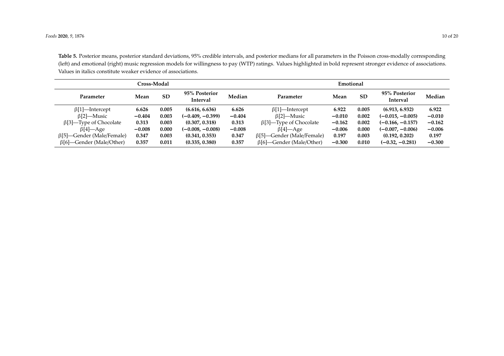**Table 5.** Posterior means, posterior standard deviations, 95% credible intervals, and posterior medians for all parameters in the Poisson cross-modally corresponding (left) and emotional (right) music regression models for willingness to pay (WTP) ratings. Values highlighted in bold represent stronger evidence of associations. Values in italics constitute weaker evidence of associations.

<span id="page-9-0"></span>

|                                  | Cross-Modal |           |                                  | Emotional |                                  |          |           |                           |          |
|----------------------------------|-------------|-----------|----------------------------------|-----------|----------------------------------|----------|-----------|---------------------------|----------|
| <b>Parameter</b>                 | Mean        | <b>SD</b> | 95% Posterior<br><b>Interval</b> | Median    | Parameter                        | Mean     | <b>SD</b> | 95% Posterior<br>Interval | Median   |
| $\beta$ [1]—Intercept            | 6.626       | 0.005     | (6.616, 6.636)                   | 6.626     | $\beta$ [1]—Intercept            | 6.922    | 0.005     | (6.913, 6.932)            | 6.922    |
| $\beta$ [2]—Music                | $-0.404$    | 0.003     | (-0.409, -0.399)                 | $-0.404$  | $\beta$ [2]—Music                | $-0.010$ | 0.002     | $(-0.015, -0.005)$        | $-0.010$ |
| $\beta$ [3]—Type of Chocolate    | 0.313       | 0.003     | (0.307, 0.318)                   | 0.313     | $\beta$ [3]—Type of Chocolate    | $-0.162$ | 0.002     | $(-0.166, -0.157)$        | $-0.162$ |
| $\beta$ [4]—Age                  | $-0.008$    | 0.000     | (-0.008, -0.008)                 | $-0.008$  | $\beta$ [4]—Age                  | $-0.006$ | 0.000     | $(-0.007, -0.006)$        | $-0.006$ |
| $\beta$ [5]—Gender (Male/Female) | 0.347       | 0.003     | (0.341, 0.353)                   | 0.347     | $\beta$ [5]—Gender (Male/Female) | 0.197    | 0.003     | (0.192, 0.202)            | 0.197    |
| $\beta$ [6]—Gender (Male/Other)  | 0.357       | 0.011     | (0.335, 0.380)                   | 0.357     | $\beta$ [6]—Gender (Male/Other)  | $-0.300$ | 0.010     | $(-0.32, -0.281)$         | $-0.300$ |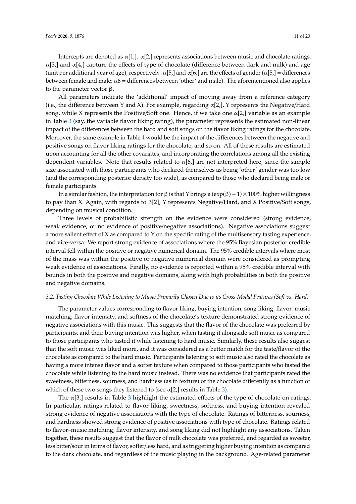Intercepts are denoted as  $\alpha[1,]\alpha[2]$  represents associations between music and chocolate ratings.  $α[3]$  and  $α[4]$  capture the effects of type of chocolate (difference between dark and milk) and age (unit per additional year of age), respectively.  $\alpha$ [5,] and  $\alpha$ [6,] are the effects of gender ( $\alpha$ [5,] = differences between female and male;  $\alpha$ 6 = differences between 'other' and male). The aforementioned also applies to the parameter vector β.

All parameters indicate the 'additional' impact of moving away from a reference category (i.e., the difference between Y and X). For example, regarding α[2,], Y represents the Negative/Hard song, while X represents the Positive/Soft one. Hence, if we take one  $\alpha[2]$ , variable as an example in Table [3](#page-7-0) (say, the variable flavor liking rating), the parameter represents the estimated non-linear impact of the differences between the hard and soft songs on the flavor liking ratings for the chocolate. Moreover, the same example in Table [4](#page-8-0) would be the impact of the differences between the negative and positive songs on flavor liking ratings for the chocolate, and so on. All of these results are estimated upon accounting for all the other covariates, and incorporating the correlations among all the existing dependent variables. Note that results related to  $\alpha$ [6,] are not interpreted here, since the sample size associated with those participants who declared themselves as being 'other' gender was too low (and the corresponding posterior density too wide), as compared to those who declared being male or female participants.

In a similar fashion, the interpretation for β is that Y brings a  $(exp(β) – 1) \times 100\%$  higher willingness to pay than X. Again, with regards to β[2], Y represents Negative/Hard, and X Positive/Soft songs, depending on musical condition.

Three levels of probabilistic strength on the evidence were considered (strong evidence, weak evidence, or no evidence of positive/negative associations). Negative associations suggest a more salient effect of X as compared to Y on the specific rating of the multisensory tasting experience, and vice-versa. We report strong evidence of associations where the 95% Bayesian posterior credible interval fell within the positive or negative numerical domain. The 95% credible intervals where most of the mass was within the positive or negative numerical domain were considered as prompting weak evidence of associations. Finally, no evidence is reported within a 95% credible interval with bounds in both the positive and negative domains, along with high probabilities in both the positive and negative domains.

#### *3.2. Tasting Chocolate While Listening to Music Primarily Chosen Due to its Cross-Modal Features (Soft vs. Hard)*

The parameter values corresponding to flavor liking, buying intention, song liking, flavor–music matching, flavor intensity, and softness of the chocolate's texture demonstrated strong evidence of negative associations with this music. This suggests that the flavor of the chocolate was preferred by participants, and their buying intention was higher, when tasting it alongside soft music as compared to those participants who tasted it while listening to hard music. Similarly, these results also suggest that the soft music was liked more, and it was considered as a better match for the taste/flavor of the chocolate as compared to the hard music. Participants listening to soft music also rated the chocolate as having a more intense flavor and a softer texture when compared to those participants who tasted the chocolate while listening to the hard music instead. There was no evidence that participants rated the sweetness, bitterness, sourness, and hardness (as in texture) of the chocolate differently as a function of which of these two songs they listened to (see  $\alpha$ [2,] results in Table [3\)](#page-7-0).

The  $\alpha$ [[3](#page-7-0),] results in Table 3 highlight the estimated effects of the type of chocolate on ratings. In particular, ratings related to flavor liking, sweetness, softness, and buying intention revealed strong evidence of negative associations with the type of chocolate. Ratings of bitterness, sourness, and hardness showed strong evidence of positive associations with type of chocolate. Ratings related to flavor–music matching, flavor intensity, and song liking did not highlight any associations. Taken together, these results suggest that the flavor of milk chocolate was preferred, and regarded as sweeter, less bitter/sour in terms of flavor, softer/less hard, and as triggering higher buying intention as compared to the dark chocolate, and regardless of the music playing in the background. Age-related parameter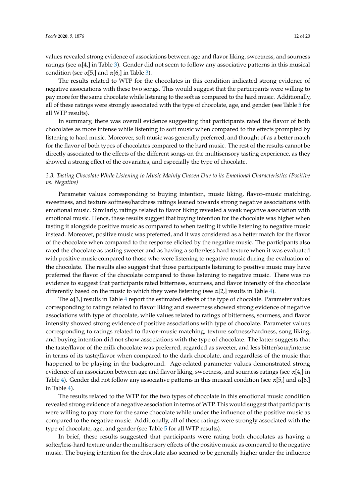values revealed strong evidence of associations between age and flavor liking, sweetness, and sourness ratings (see  $\alpha$ [4,] in Table [3\)](#page-7-0). Gender did not seem to follow any associative patterns in this musical condition (see  $\alpha$ [5,] and  $\alpha$ [6,] in Table [3\)](#page-7-0).

The results related to WTP for the chocolates in this condition indicated strong evidence of negative associations with these two songs. This would suggest that the participants were willing to pay more for the same chocolate while listening to the soft as compared to the hard music. Additionally, all of these ratings were strongly associated with the type of chocolate, age, and gender (see Table [5](#page-9-0) for all WTP results).

In summary, there was overall evidence suggesting that participants rated the flavor of both chocolates as more intense while listening to soft music when compared to the effects prompted by listening to hard music. Moreover, soft music was generally preferred, and thought of as a better match for the flavor of both types of chocolates compared to the hard music. The rest of the results cannot be directly associated to the effects of the different songs on the multisensory tasting experience, as they showed a strong effect of the covariates, and especially the type of chocolate.

#### *3.3. Tasting Chocolate While Listening to Music Mainly Chosen Due to its Emotional Characteristics (Positive vs. Negative)*

Parameter values corresponding to buying intention, music liking, flavor–music matching, sweetness, and texture softness/hardness ratings leaned towards strong negative associations with emotional music. Similarly, ratings related to flavor liking revealed a weak negative association with emotional music. Hence, these results suggest that buying intention for the chocolate was higher when tasting it alongside positive music as compared to when tasting it while listening to negative music instead. Moreover, positive music was preferred, and it was considered as a better match for the flavor of the chocolate when compared to the response elicited by the negative music. The participants also rated the chocolate as tasting sweeter and as having a softer/less hard texture when it was evaluated with positive music compared to those who were listening to negative music during the evaluation of the chocolate. The results also suggest that those participants listening to positive music may have preferred the flavor of the chocolate compared to those listening to negative music. There was no evidence to suggest that participants rated bitterness, sourness, and flavor intensity of the chocolate differently based on the music to which they were listening (see  $\alpha$ [2,] results in Table [4\)](#page-8-0).

The  $\alpha$ [3,] results in Table [4](#page-8-0) report the estimated effects of the type of chocolate. Parameter values corresponding to ratings related to flavor liking and sweetness showed strong evidence of negative associations with type of chocolate, while values related to ratings of bitterness, sourness, and flavor intensity showed strong evidence of positive associations with type of chocolate. Parameter values corresponding to ratings related to flavor–music matching, texture softness/hardness, song liking, and buying intention did not show associations with the type of chocolate. The latter suggests that the taste/flavor of the milk chocolate was preferred, regarded as sweeter, and less bitter/sour/intense in terms of its taste/flavor when compared to the dark chocolate, and regardless of the music that happened to be playing in the background. Age-related parameter values demonstrated strong evidence of an association between age and flavor liking, sweetness, and sourness ratings (see  $\alpha$ [4,] in Table [4\)](#page-8-0). Gender did not follow any associative patterns in this musical condition (see  $\alpha$ [5,] and  $\alpha$ [6,] in Table [4\)](#page-8-0).

The results related to the WTP for the two types of chocolate in this emotional music condition revealed strong evidence of a negative association in terms of WTP. This would suggest that participants were willing to pay more for the same chocolate while under the influence of the positive music as compared to the negative music. Additionally, all of these ratings were strongly associated with the type of chocolate, age, and gender (see Table [5](#page-9-0) for all WTP results).

In brief, these results suggested that participants were rating both chocolates as having a softer/less-hard texture under the multisensory effects of the positive music as compared to the negative music. The buying intention for the chocolate also seemed to be generally higher under the influence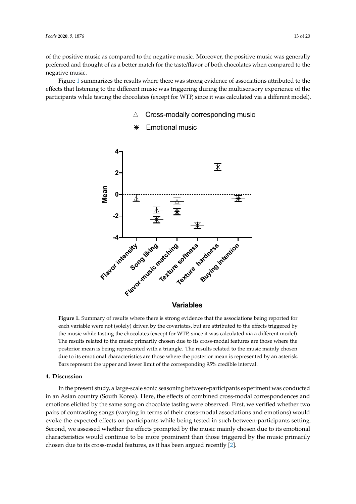of the positive music as compared to the negative music. Moreover, the positive music was generally preferred and thought of as a better match for the taste/flavor of both chocolates when compared to the negative music.

<span id="page-12-0"></span>Figure [1](#page-12-0) summarizes the results where there was strong evidence of associations attributed to the effects that listening to the different music was triggering during the multisensory experience of the participants while tasting the chocolates (except for WTP, since it was calculated via a different model).

 $\triangle^-$ Cross-modally corresponding music

# **4**  $\overline{\mathcal{F}}$ **2 Mean 0** 一来 **-2**  $\bm{\divideontimes}$ **-4** Flavor-intensity of the flature softness intention

**Figure 1.** Summary of results where there is strong evidence that the associations being reported for **Figure 1.** Summary of results where there is strong evidence that the associations being reported for each variable were not (solely) driven by the covariates, but are attributed to the effects triggered by  $\frac{1}{2}$ the music while tasting the chocolates (except for WTP, since it was calculated via a different model).<br>— The results related to the music primarily chosen due to its cross-modal features are those where the posterior mean is being represented with a triangle. The results related to the music mainly chosen posterior mean is being represented with a triangle. The results related to the music mainly chosen due to its emotional characteristics are those where the posterior mean is represented by an asterisk.<br> **Variables**

Bars represent the upper and lower limit of the corresponding 95% credible interval. Bars represent the upper and lower limit of the corresponding 95% credible interval.

#### **4. Discussion**

in an Asian country (South Korea). Here, the effects of combined cross-modal correspondences and emotions elicited by the same song on chocolate tasting were observed. First, we verified whether two pairs of contrasting songs (varying in terms of their cross-modal associations and emotions) would .<br>evoke the expected effects on participants while being tested in such between-participants setting. Second, we assessed whether the effects prompted by the music mainly chosen due to its emotional characteristics would continue to be more prominent than those triggered by the music primarily chosen due to its cross-modal features, as it has been argued recently  $[2]$ . In the present study, a large-scale sonic seasoning between-participants experiment was conducted

 $m_{\rm e}$  chosen due to its cross-model features, as it has been argued recently  $\alpha$ 

#### Emotional music  $\ast$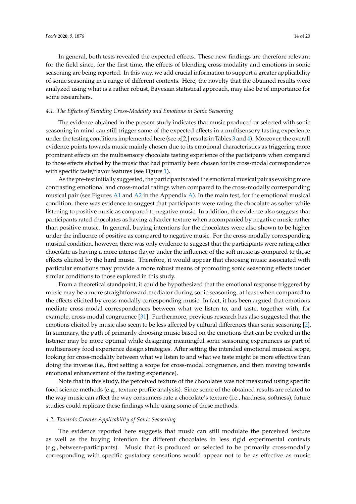In general, both tests revealed the expected effects. These new findings are therefore relevant for the field since, for the first time, the effects of blending cross-modality and emotions in sonic seasoning are being reported. In this way, we add crucial information to support a greater applicability of sonic seasoning in a range of different contexts. Here, the novelty that the obtained results were analyzed using what is a rather robust, Bayesian statistical approach, may also be of importance for some researchers.

#### *4.1. The E*ff*ects of Blending Cross-Modality and Emotions in Sonic Seasoning*

The evidence obtained in the present study indicates that music produced or selected with sonic seasoning in mind can still trigger some of the expected effects in a multisensory tasting experience under the testing conditions implemented here (see  $\alpha$ [2,] results in Tables [3](#page-7-0) and [4\)](#page-8-0). Moreover, the overall evidence points towards music mainly chosen due to its emotional characteristics as triggering more prominent effects on the multisensory chocolate tasting experience of the participants when compared to those effects elicited by the music that had primarily been chosen for its cross-modal correspondence with specific taste/flavor features (see Figure [1\)](#page-12-0).

As the pre-test initially suggested, the participants rated the emotional musical pair as evoking more contrasting emotional and cross-modal ratings when compared to the cross-modally corresponding musical pair (see Figures [A1](#page-16-0) and [A2](#page-16-1) in the Appendix [A\)](#page-15-0). In the main test, for the emotional musical condition, there was evidence to suggest that participants were rating the chocolate as softer while listening to positive music as compared to negative music. In addition, the evidence also suggests that participants rated chocolates as having a harder texture when accompanied by negative music rather than positive music. In general, buying intentions for the chocolates were also shown to be higher under the influence of positive as compared to negative music. For the cross-modally corresponding musical condition, however, there was only evidence to suggest that the participants were rating either chocolate as having a more intense flavor under the influence of the soft music as compared to those effects elicited by the hard music. Therefore, it would appear that choosing music associated with particular emotions may provide a more robust means of promoting sonic seasoning effects under similar conditions to those explored in this study.

From a theoretical standpoint, it could be hypothesized that the emotional response triggered by music may be a more straightforward mediator during sonic seasoning, at least when compared to the effects elicited by cross-modally corresponding music. In fact, it has been argued that emotions mediate cross-modal correspondences between what we listen to, and taste, together with, for example, cross-modal congruence [\[31\]](#page-18-7). Furthermore, previous research has also suggested that the emotions elicited by music also seem to be less affected by cultural differences than sonic seasoning [\[2\]](#page-17-19). In summary, the path of primarily choosing music based on the emotions that can be evoked in the listener may be more optimal while designing meaningful sonic seasoning experiences as part of multisensory food experience design strategies. After setting the intended emotional musical scope, looking for cross-modality between what we listen to and what we taste might be more effective than doing the inverse (i.e., first setting a scope for cross-modal congruence, and then moving towards emotional enhancement of the tasting experience).

Note that in this study, the perceived texture of the chocolates was not measured using specific food science methods (e.g., texture profile analysis). Since some of the obtained results are related to the way music can affect the way consumers rate a chocolate's texture (i.e., hardness, softness), future studies could replicate these findings while using some of these methods.

#### *4.2. Towards Greater Applicability of Sonic Seasoning*

The evidence reported here suggests that music can still modulate the perceived texture as well as the buying intention for different chocolates in less rigid experimental contexts (e.g., between-participants). Music that is produced or selected to be primarily cross-modally corresponding with specific gustatory sensations would appear not to be as effective as music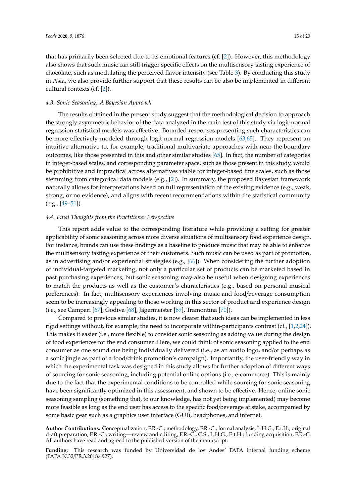that has primarily been selected due to its emotional features (cf. [\[2\]](#page-17-19)). However, this methodology also shows that such music can still trigger specific effects on the multisensory tasting experience of chocolate, such as modulating the perceived flavor intensity (see Table [3\)](#page-7-0). By conducting this study in Asia, we also provide further support that these results can be also be implemented in different cultural contexts (cf. [\[2\]](#page-17-19)).

#### *4.3. Sonic Seasoning: A Bayesian Approach*

The results obtained in the present study suggest that the methodological decision to approach the strongly asymmetric behavior of the data analyzed in the main test of this study via logit-normal regression statistical models was effective. Bounded responses presenting such characteristics can be more effectively modeled through logit-normal regression models [\[63](#page-19-10)[,65\]](#page-19-12). They represent an intuitive alternative to, for example, traditional multivariate approaches with near-the-boundary outcomes, like those presented in this and other similar studies [\[65\]](#page-19-12). In fact, the number of categories in integer-based scales, and corresponding parameter space, such as those present in this study, would be prohibitive and impractical across alternatives viable for integer-based fine scales, such as those stemming from categorical data models (e.g., [\[2\]](#page-17-19)). In summary, the proposed Bayesian framework naturally allows for interpretations based on full representation of the existing evidence (e.g., weak, strong, or no evidence), and aligns with recent recommendations within the statistical community (e.g., [\[49](#page-18-18)[–51\]](#page-18-19)).

#### *4.4. Final Thoughts from the Practitioner Perspective*

This report adds value to the corresponding literature while providing a setting for greater applicability of sonic seasoning across more diverse situations of multisensory food experience design. For instance, brands can use these findings as a baseline to produce music that may be able to enhance the multisensory tasting experience of their customers. Such music can be used as part of promotion, as in advertising and/or experiential strategies (e.g., [\[66\]](#page-19-13)). When considering the further adoption of individual-targeted marketing, not only a particular set of products can be marketed based in past purchasing experiences, but sonic seasoning may also be useful when designing experiences to match the products as well as the customer's characteristics (e.g., based on personal musical preferences). In fact, multisensory experiences involving music and food/beverage consumption seem to be increasingly appealing to those working in this sector of product and experience design (i.e., see Campari [\[67\]](#page-19-14), Godiva [\[68\]](#page-19-15), Jägermeister [\[69\]](#page-19-16), Tramontina [\[70\]](#page-19-17)).

Compared to previous similar studies, it is now clearer that such ideas can be implemented in less rigid settings without, for example, the need to incorporate within-participants contrast (cf., [\[1](#page-17-0)[,2](#page-17-19)[,24\]](#page-17-20)). This makes it easier (i.e., more flexible) to consider sonic seasoning as adding value during the design of food experiences for the end consumer. Here, we could think of sonic seasoning applied to the end consumer as one sound cue being individually delivered (i.e., as an audio logo, and/or perhaps as a sonic jingle as part of a food/drink promotion's campaign). Importantly, the user-friendly way in which the experimental task was designed in this study allows for further adoption of different ways of sourcing for sonic seasoning, including potential online options (i.e., e-commerce). This is mainly due to the fact that the experimental conditions to be controlled while sourcing for sonic seasoning have been significantly optimized in this assessment, and shown to be effective. Hence, online sonic seasoning sampling (something that, to our knowledge, has not yet being implemented) may become more feasible as long as the end user has access to the specific food/beverage at stake, accompanied by some basic gear such as a graphics user interface (GUI), headphones, and internet.

**Author Contributions:** Conceptualization, F.R.-C.; methodology, F.R.-C.; formal analysis, L.H.G., E.t.H.; original draft preparation, F.R.-C.; writing—review and editing, F.R.-C., C.S., L.H.G., E.t.H.; funding acquisition, F.R.-C. All authors have read and agreed to the published version of the manuscript.

**Funding:** This research was funded by Universidad de los Andes' FAPA internal funding scheme (FAPA N.32/PR.3.2018.4927).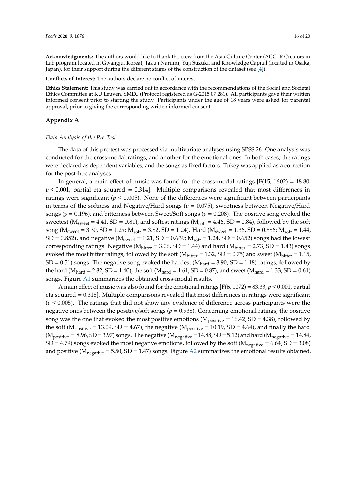**Acknowledgments:** The authors would like to thank the crew from the Asia Culture Center (ACC\_R Creators in Lab program located in Gwangju, Korea), Takuji Narumi, Yuji Suzuki, and Knowledge Capital (located in Osaka, Japan), for their support during the different stages of the construction of the dataset (see [\[4\]](#page-17-1)).

**Conflicts of Interest:** The authors declare no conflict of interest.

**Ethics Statement:** This study was carried out in accordance with the recommendations of the Social and Societal Ethics Committee at KU Leuven, SMEC (Protocol registered as G-2015 07 281). All participants gave their written informed consent prior to starting the study. Participants under the age of 18 years were asked for parental approval, prior to giving the corresponding written informed consent.

#### <span id="page-15-0"></span>**Appendix A**

#### *Data Analysis of the Pre-Test*

The data of this pre-test was processed via multivariate analyses using SPSS 26. One analysis was conducted for the cross-modal ratings, and another for the emotional ones. In both cases, the ratings were declared as dependent variables, and the songs as fixed factors. Tukey was applied as a correction for the post-hoc analyses.

In general, a main effect of music was found for the cross-modal ratings  $[F(15, 1602) = 48.80]$ ,  $p \le 0.001$ , partial eta squared = 0.314. Multiple comparisons revealed that most differences in ratings were significant ( $p \le 0.005$ ). None of the differences were significant between participants in terms of the softness and Negative/Hard songs (*p* = 0.075), sweetness between Negative/Hard songs (*p* = 0.196), and bitterness between Sweet/Soft songs (*p* = 0.208). The positive song evoked the sweetest ( $M<sub>swect</sub> = 4.41$ , SD = 0.81), and softest ratings ( $M<sub>soft</sub> = 4.46$ , SD = 0.84), followed by the soft song ( $M<sub>sweet</sub> = 3.30$ , SD = 1.29;  $M<sub>soft</sub> = 3.82$ , SD = 1.24). Hard ( $M<sub>sweet</sub> = 1.36$ , SD = 0.886;  $M<sub>soft</sub> = 1.44$ ,  $SD = 0.852$ ), and negative ( $M<sub>swect</sub> = 1.21$ ,  $SD = 0.639$ ;  $M<sub>soft</sub> = 1.24$ ,  $SD = 0.652$ ) songs had the lowest corresponding ratings. Negative ( $M<sub>bitter</sub> = 3.06$ , SD = 1.44) and hard ( $M<sub>bitter</sub> = 2.73$ , SD = 1.43) songs evoked the most bitter ratings, followed by the soft ( $M<sub>bitter</sub> = 1.32$ , SD = 0.75) and sweet ( $M<sub>bitter</sub> = 1.15$ ,  $SD = 0.51$ ) songs. The negative song evoked the hardest ( $M<sub>hard</sub> = 3.90$ ,  $SD = 1.18$ ) ratings, followed by the hard ( $M_{\text{hard}} = 2.82$ , SD = 1.40), the soft ( $M_{\text{hard}} = 1.61$ , SD = 0.87), and sweet ( $M_{\text{hard}} = 1.33$ , SD = 0.61) songs. Figure [A1](#page-16-0) summarizes the obtained cross-modal results.

A main effect of music was also found for the emotional ratings [F(6, 1072) = 83.33,  $p \le 0.001$ , partial eta squared = 0.318]. Multiple comparisons revealed that most differences in ratings were significant  $(p \le 0.005)$ . The ratings that did not show any evidence of difference across participants were the negative ones between the positive/soft songs ( $p = 0.938$ ). Concerning emotional ratings, the positive song was the one that evoked the most positive emotions ( $M_{positive} = 16.42$ , SD = 4.38), followed by the soft ( $M_{positive}$  = 13.09, SD = 4.67), the negative ( $M_{positive}$  = 10.19, SD = 4.64), and finally the hard  $(M_{positive} = 8.96, SD = 3.97)$  songs. The negative  $(M_{negative} = 14.88, SD = 5.12)$  and hard  $(M_{negative} = 14.84,$  $SD = 4.79$ ) songs evoked the most negative emotions, followed by the soft ( $M_{\text{negative}} = 6.64$ ,  $SD = 3.08$ ) and positive  $(M_{\text{negative}} = 5.50, SD = 1.47)$  songs. Figure [A2](#page-16-1) summarizes the emotional results obtained.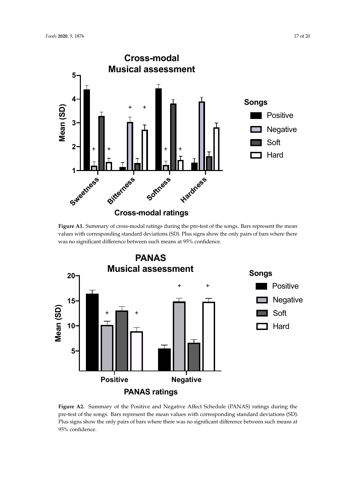<span id="page-16-0"></span>

values with corresponding standard deviations (SD). Plus signs show the only pairs of bars where there values with corresponding standard deviations (SD). Plus signs show the only pairs of bars where there was no significant difference between such means at 95% confidence. **Figure A1.** Summary of cross-modal ratings during the pre-test of the songs. Bars represent the mean

<span id="page-16-1"></span>

pre-test of the songs. Bars represent the mean values with corresponding standard deviations (SD). Plus signs show the only pairs of bars where there was no significant difference between such means at 05% canfidance **Figure A2.** Summary of the Positive and Negative Affect Schedule (PANAS) ratings during the 95% confidence.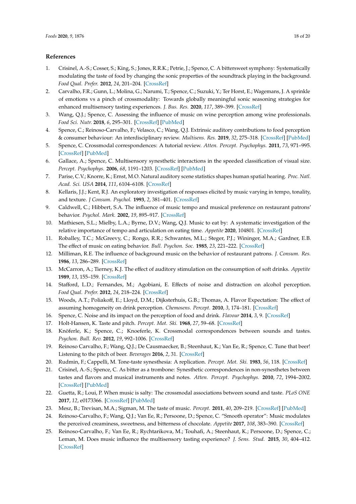#### **References**

- <span id="page-17-0"></span>1. Crisinel, A.-S.; Cosser, S.; King, S.; Jones, R.R.K.; Petrie, J.; Spence, C. A bittersweet symphony: Systematically modulating the taste of food by changing the sonic properties of the soundtrack playing in the background. *Food Qual. Prefer.* **2012**, *24*, 201–204. [\[CrossRef\]](http://dx.doi.org/10.1016/j.foodqual.2011.08.009)
- <span id="page-17-19"></span>2. Carvalho, F.R.; Gunn, L.; Molina, G.; Narumi, T.; Spence, C.; Suzuki, Y.; Ter Horst, E.; Wagemans, J. A sprinkle of emotions vs a pinch of crossmodality: Towards globally meaningful sonic seasoning strategies for enhanced multisensory tasting experiences. *J. Bus. Res.* **2020**, *117*, 389–399. [\[CrossRef\]](http://dx.doi.org/10.1016/j.jbusres.2020.04.055)
- 3. Wang, Q.J.; Spence, C. Assessing the influence of music on wine perception among wine professionals. *Food Sci. Nutr.* **2018**, *6*, 295–301. [\[CrossRef\]](http://dx.doi.org/10.1002/fsn3.554) [\[PubMed\]](http://www.ncbi.nlm.nih.gov/pubmed/29564095)
- <span id="page-17-1"></span>4. Spence, C.; Reinoso-Carvalho, F.; Velasco, C.; Wang, Q.J. Extrinsic auditory contributions to food perception & consumer behaviour: An interdisciplinary review. *Multisens. Res.* **2019**, *32*, 275–318. [\[CrossRef\]](http://dx.doi.org/10.1163/22134808-20191403) [\[PubMed\]](http://www.ncbi.nlm.nih.gov/pubmed/31059484)
- <span id="page-17-2"></span>5. Spence, C. Crossmodal correspondences: A tutorial review. *Atten. Percept. Psychophys.* **2011**, *73*, 971–995. [\[CrossRef\]](http://dx.doi.org/10.3758/s13414-010-0073-7) [\[PubMed\]](http://www.ncbi.nlm.nih.gov/pubmed/21264748)
- <span id="page-17-3"></span>6. Gallace, A.; Spence, C. Multisensory synesthetic interactions in the speeded classification of visual size. *Percept. Psychophys.* **2006**, *68*, 1191–1203. [\[CrossRef\]](http://dx.doi.org/10.3758/BF03193720) [\[PubMed\]](http://www.ncbi.nlm.nih.gov/pubmed/17355042)
- <span id="page-17-4"></span>7. Parise, C.V.; Knorre, K.; Ernst, M.O. Natural auditory scene statistics shapes human spatial hearing. *Proc. Natl. Acad. Sci. USA* **2014**, *111*, 6104–6108. [\[CrossRef\]](http://dx.doi.org/10.1073/pnas.1322705111)
- <span id="page-17-5"></span>8. Kellaris, J.J.; Kent, R.J. An exploratory investigation of responses elicited by music varying in tempo, tonality, and texture. *J Consum. Psychol.* **1993**, *2*, 381–401. [\[CrossRef\]](http://dx.doi.org/10.1016/S1057-7408(08)80068-X)
- <span id="page-17-6"></span>9. Caldwell, C.; Hibbert, S.A. The influence of music tempo and musical preference on restaurant patrons' behavior. *Psychol. Mark.* **2002**, *19*, 895–917. [\[CrossRef\]](http://dx.doi.org/10.1002/mar.10043)
- <span id="page-17-7"></span>10. Mathiesen, S.L.; Mielby, L.A.; Byrne, D.V.; Wang, Q.J. Music to eat by: A systematic investigation of the relative importance of tempo and articulation on eating time. *Appetite* **2020**, 104801. [\[CrossRef\]](http://dx.doi.org/10.1016/j.appet.2020.104801)
- <span id="page-17-8"></span>11. Roballey, T.C.; McGreevy, C.; Rongo, R.R.; Schwantes, M.L.; Steger, P.J.; Wininger, M.A.; Gardner, E.B. The effect of music on eating behavior. *Bull. Psychon. Soc.* **1985**, *23*, 221–222. [\[CrossRef\]](http://dx.doi.org/10.3758/BF03329832)
- <span id="page-17-9"></span>12. Milliman, R.E. The influence of background music on the behavior of restaurant patrons. *J. Consum. Res.* **1986**, *13*, 286–289. [\[CrossRef\]](http://dx.doi.org/10.1086/209068)
- <span id="page-17-10"></span>13. McCarron, A.; Tierney, K.J. The effect of auditory stimulation on the consumption of soft drinks. *Appetite* **1989**, *13*, 155–159. [\[CrossRef\]](http://dx.doi.org/10.1016/0195-6663(89)90112-8)
- <span id="page-17-11"></span>14. Stafford, L.D.; Fernandes, M.; Agobiani, E. Effects of noise and distraction on alcohol perception. *Food Qual. Prefer.* **2012**, *24*, 218–224. [\[CrossRef\]](http://dx.doi.org/10.1016/j.foodqual.2011.10.012)
- <span id="page-17-12"></span>15. Woods, A.T.; Poliakoff, E.; Lloyd, D.M.; Dijksterhuis, G.B.; Thomas, A. Flavor Expectation: The effect of assuming homogeneity on drink perception. *Chemosens. Percept.* **2010**, *3*, 174–181. [\[CrossRef\]](http://dx.doi.org/10.1007/s12078-010-9080-2)
- <span id="page-17-13"></span>16. Spence, C. Noise and its impact on the perception of food and drink. *Flavour* **2014**, *3*, 9. [\[CrossRef\]](http://dx.doi.org/10.1186/2044-7248-3-9)
- <span id="page-17-14"></span>17. Holt-Hansen, K. Taste and pitch. *Percept. Mot. Ski.* **1968**, *27*, 59–68. [\[CrossRef\]](http://dx.doi.org/10.2466/pms.1968.27.1.59)
- <span id="page-17-16"></span>18. Knöferle, K.; Spence, C.; Knoeferle, K. Crossmodal correspondences between sounds and tastes. *Psychon. Bull. Rev.* **2012**, *19*, 992–1006. [\[CrossRef\]](http://dx.doi.org/10.3758/s13423-012-0321-z)
- 19. Reinoso Carvalho, F.; Wang, Q.J.; De Causmaecker, B.; Steenhaut, K.; Van Ee, R.; Spence, C. Tune that beer! Listening to the pitch of beer. *Beverages* **2016**, *2*, 31. [\[CrossRef\]](http://dx.doi.org/10.3390/beverages2040031)
- <span id="page-17-15"></span>20. Rudmin, F.; Cappelli, M. Tone-taste synesthesia: A replication. *Percept. Mot. Ski.* **1983**, *56*, 118. [\[CrossRef\]](http://dx.doi.org/10.2466/pms.1983.56.1.118)
- <span id="page-17-17"></span>21. Crisinel, A.-S.; Spence, C. As bitter as a trombone: Synesthetic correspondences in non-synesthetes between tastes and flavors and musical instruments and notes. *Atten. Percept. Psychophys.* **2010**, *72*, 1994–2002. [\[CrossRef\]](http://dx.doi.org/10.3758/APP.72.7.1994) [\[PubMed\]](http://www.ncbi.nlm.nih.gov/pubmed/20952795)
- 22. Guetta, R.; Loui, P. When music is salty: The crossmodal associations between sound and taste. *PLoS ONE* **2017**, *12*, e0173366. [\[CrossRef\]](http://dx.doi.org/10.1371/journal.pone.0173366) [\[PubMed\]](http://www.ncbi.nlm.nih.gov/pubmed/28355227)
- 23. Mesz, B.; Trevisan, M.A.; Sigman, M. The taste of music. *Percept.* **2011**, *40*, 209–219. [\[CrossRef\]](http://dx.doi.org/10.1068/p6801) [\[PubMed\]](http://www.ncbi.nlm.nih.gov/pubmed/21650094)
- <span id="page-17-20"></span>24. Reinoso-Carvalho, F.; Wang, Q.J.; Van Ee, R.; Persoone, D.; Spence, C. "Smooth operator": Music modulates the perceived creaminess, sweetness, and bitterness of chocolate. *Appetite* **2017**, *108*, 383–390. [\[CrossRef\]](http://dx.doi.org/10.1016/j.appet.2016.10.026)
- <span id="page-17-18"></span>25. Reinoso-Carvalho, F.; Van Ee, R.; Rychtarikova, M.; Touhafi, A.; Steenhaut, K.; Persoone, D.; Spence, C.; Leman, M. Does music influence the multisensory tasting experience? *J. Sens. Stud.* **2015**, *30*, 404–412. [\[CrossRef\]](http://dx.doi.org/10.1111/joss.12168)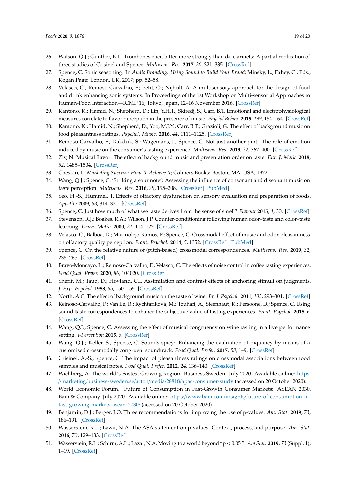- <span id="page-18-0"></span>26. Watson, Q.J.; Gunther, K.L. Trombones elicit bitter more strongly than do clarinets: A partial replication of three studies of Crisinel and Spence. *Multisens. Res.* **2017**, *30*, 321–335. [\[CrossRef\]](http://dx.doi.org/10.1163/22134808-00002573)
- <span id="page-18-1"></span>27. Spence, C. Sonic seasoning. In *Audio Branding: Using Sound to Build Your Brand*; Minsky, L., Fahey, C., Eds.; Kogan Page: London, UK, 2017; pp. 52–58.
- <span id="page-18-2"></span>28. Velasco, C.; Reinoso-Carvalho, F.; Petit, O.; Nijholt, A. A multisensory approach for the design of food and drink enhancing sonic systems. In Proceedings of the 1st Workshop on Multi-sensorial Approaches to Human-Food Interaction—ICMI '16, Tokyo, Japan, 12-16 November 2016. [\[CrossRef\]](http://dx.doi.org/10.1145/3007577.3007578)
- <span id="page-18-3"></span>29. Kantono, K.; Hamid, N.; Shepherd, D.; Lin, Y.H.T.; Skiredj, S.; Carr, B.T. Emotional and electrophysiological measures correlate to flavor perception in the presence of music. *Physiol Behav.* **2019**, *199*, 154–164. [\[CrossRef\]](http://dx.doi.org/10.1016/j.physbeh.2018.11.012)
- 30. Kantono, K.; Hamid, N.; Shepherd, D.; Yoo, M.J.Y.; Carr, B.T.; Grazioli, G. The effect of background music on food pleasantness ratings. *Psychol. Music.* **2016**, *44*, 1111–1125. [\[CrossRef\]](http://dx.doi.org/10.1177/0305735615613149)
- <span id="page-18-7"></span>31. Reinoso-Carvalho, F.; Dakduk, S.; Wagemans, J.; Spence, C. Not just another pint! The role of emotion induced by music on the consumer's tasting experience. *Multisens. Res.* **2019**, *32*, 367–400. [\[CrossRef\]](http://dx.doi.org/10.1163/22134808-20191374)
- <span id="page-18-4"></span>32. Ziv, N. Musical flavor: The effect of background music and presentation order on taste. *Eur. J. Mark.* **2018**, *52*, 1485–1504. [\[CrossRef\]](http://dx.doi.org/10.1108/EJM-07-2017-0427)
- <span id="page-18-5"></span>33. Cheskin, L. *Marketing Success: How To Achieve It*; Cahners Books: Boston, MA, USA, 1972.
- <span id="page-18-6"></span>34. Wang, Q.J.; Spence, C. 'Striking a sour note': Assessing the influence of consonant and dissonant music on taste perception. *Multisens. Res.* **2016**, *29*, 195–208. [\[CrossRef\]](http://dx.doi.org/10.1163/22134808-00002505) [\[PubMed\]](http://www.ncbi.nlm.nih.gov/pubmed/27311296)
- <span id="page-18-8"></span>35. Seo, H.-S.; Hummel, T. Effects of olfactory dysfunction on sensory evaluation and preparation of foods. *Appetite* **2009**, *53*, 314–321. [\[CrossRef\]](http://dx.doi.org/10.1016/j.appet.2009.07.010)
- <span id="page-18-9"></span>36. Spence, C. Just how much of what we taste derives from the sense of smell? *Flavour* **2015**, *4*, 30. [\[CrossRef\]](http://dx.doi.org/10.1186/s13411-015-0040-2)
- 37. Stevenson, R.J.; Boakes, R.A.; Wilson, J.P. Counter-conditioning following human odor–taste and color–taste learning. *Learn. Motiv.* **2000**, *31*, 114–127. [\[CrossRef\]](http://dx.doi.org/10.1006/lmot.1999.1044)
- <span id="page-18-10"></span>38. Velasco, C.; Balboa, D.; Marmolejo-Ramos, F.; Spence, C. Crossmodal effect of music and odor pleasantness on olfactory quality perception. *Front. Psychol.* **2014**, *5*, 1352. [\[CrossRef\]](http://dx.doi.org/10.3389/fpsyg.2014.01352) [\[PubMed\]](http://www.ncbi.nlm.nih.gov/pubmed/25506332)
- <span id="page-18-11"></span>39. Spence, C. On the relative nature of (pitch-based) crossmodal correspondences. *Multisens. Res.* **2019**, *32*, 235–265. [\[CrossRef\]](http://dx.doi.org/10.1163/22134808-20191407)
- 40. Bravo-Moncayo, L.; Reinoso-Carvalho, F.; Velasco, C. The effects of noise control in coffee tasting experiences. *Food Qual. Prefer.* **2020**, *86*, 104020. [\[CrossRef\]](http://dx.doi.org/10.1016/j.foodqual.2020.104020)
- <span id="page-18-12"></span>41. Sherif, M.; Taub, D.; Hovland, C.I. Assimilation and contrast effects of anchoring stimuli on judgments. *J. Exp. Psychol.* **1958**, *55*, 150–155. [\[CrossRef\]](http://dx.doi.org/10.1037/h0048784)
- <span id="page-18-13"></span>42. North, A.C. The effect of background music on the taste of wine. *Br. J. Psychol.* **2011**, *103*, 293–301. [\[CrossRef\]](http://dx.doi.org/10.1111/j.2044-8295.2011.02072.x)
- 43. Reinoso-Carvalho, F.; Van Ee, R.; Rychtáriková, M.; Touhafi, A.; Steenhaut, K.; Persoone, D.; Spence, C. Using sound-taste correspondences to enhance the subjective value of tasting experiences. *Front. Psychol.* **2015**, *6*. [\[CrossRef\]](http://dx.doi.org/10.3389/fpsyg.2015.01309)
- 44. Wang, Q.J.; Spence, C. Assessing the effect of musical congruency on wine tasting in a live performance setting. *i-Perception* **2015**, *6*. [\[CrossRef\]](http://dx.doi.org/10.1177/2041669515593027)
- <span id="page-18-14"></span>45. Wang, Q.J.; Keller, S.; Spence, C. Sounds spicy: Enhancing the evaluation of piquancy by means of a customised crossmodally congruent soundtrack. *Food Qual. Prefer.* **2017**, *58*, 1–9. [\[CrossRef\]](http://dx.doi.org/10.1016/j.foodqual.2016.12.014)
- <span id="page-18-15"></span>46. Crisinel, A.-S.; Spence, C. The impact of pleasantness ratings on crossmodal associations between food samples and musical notes. *Food Qual. Prefer.* **2012**, *24*, 136–140. [\[CrossRef\]](http://dx.doi.org/10.1016/j.foodqual.2011.10.007)
- <span id="page-18-16"></span>47. Wichberg, A. The world´s Fastest Growing Region. Business Sweden. July 2020. Available online: [https:](https://marketing.business-sweden.se/acton/media/28818/apac-consumer-study) //[marketing.business-sweden.se](https://marketing.business-sweden.se/acton/media/28818/apac-consumer-study)/acton/media/28818/apac-consumer-study (accessed on 20 October 2020).
- <span id="page-18-17"></span>48. World Economic Forum. Future of Consumption in Fast-Growth Consumer Markets: ASEAN 2030. Bain & Company. July 2020. Available online: https://www.bain.com/insights/[future-of-consumption-in](https://www.bain.com/insights/future-of-consumption-in-fast-growing-markets-asean-2030/)[fast-growing-markets-asean-2030](https://www.bain.com/insights/future-of-consumption-in-fast-growing-markets-asean-2030/)/ (accessed on 20 October 2020).
- <span id="page-18-18"></span>49. Benjamin, D.J.; Berger, J.O. Three recommendations for improving the use of p-values. *Am. Stat.* **2019**, *73*, 186–191. [\[CrossRef\]](http://dx.doi.org/10.1080/00031305.2018.1543135)
- 50. Wasserstein, R.L.; Lazar, N.A. The ASA statement on p-values: Context, process, and purpose. *Am. Stat.* **2016**, *70*, 129–133. [\[CrossRef\]](http://dx.doi.org/10.1080/00031305.2016.1154108)
- <span id="page-18-19"></span>51. Wasserstein, R.L.; Schirm, A.L.; Lazar, N.A. Moving to a world beyond "p < 0.05 ". *Am Stat.* **2019**, *73* (Suppl. 1), 1–19. [\[CrossRef\]](http://dx.doi.org/10.1080/00031305.2019.1583913)